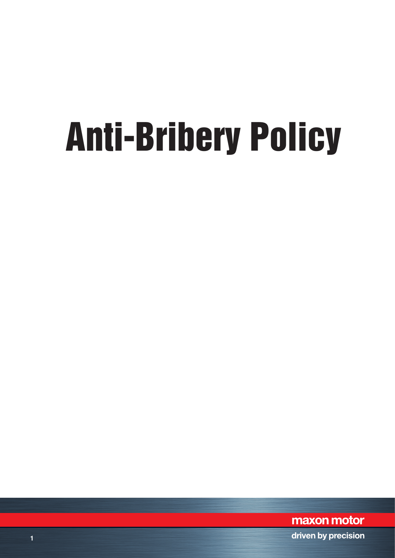# Anti-Bribery Policy

maxon motor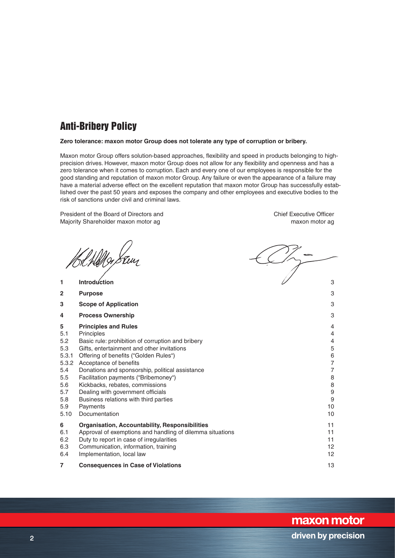# Anti-Bribery Policy

## **Zero tolerance: maxon motor Group does not tolerate any type of corruption or bribery.**

Maxon motor Group offers solution-based approaches, flexibility and speed in products belonging to highprecision drives. However, maxon motor Group does not allow for any flexibility and openness and has a zero tolerance when it comes to corruption. Each and every one of our employees is responsible for the good standing and reputation of maxon motor Group. Any failure or even the appearance of a failure may have a material adverse effect on the excellent reputation that maxon motor Group has successfully established over the past 50 years and exposes the company and other employees and executive bodies to the risk of sanctions under civil and criminal laws.

President of the Board of Directors and Chief Executive Officer Majority Shareholder maxon motor ag maxon motor ag maxon motor ag maxon motor ag

Wellas

**1 Introduction** 3 **2 Purpose** 3 **3 Scope of Application** 3 **4 Process Ownership** 3

- 
- 
- 
- 

## **5 Principles and Rules** 4

- 5.1 Principles 4
- 5.2 Basic rule: prohibition of corruption and bribery  $\begin{array}{c} 4 \\ 5.3 \end{array}$  Gifts, entertainment and other invitations
- 5.3 Gifts, entertainment and other invitations 5 5.3.1 Offering of benefits ("Golden Rules") 6
- 5.3.2 Acceptance of benefits 7
- 
- 5.4 Donations and sponsorship, political assistance 7 5.5 Facilitation payments ("Bribemoney") 8
- 5.6 Kickbacks, rebates, commissions 8
- 5.7 Dealing with government officials 9
- 5.8 Business relations with third parties 9
- 5.9 Payments 10
- 5.10 Documentation 10
- **6 Organisation, Accountability, Responsibilities** 11
- 6.1 Approval of exemptions and handling of dilemma situations 11
- 6.2 Duty to report in case of irregularities 11 and 200 and 200 and 200 and 200 and 200 and 200 and 200 and 200 and 200 and 200 and 200 and 200 and 200 and 200 and 200 and 200 and 200 and 200 and 200 and 200 and 200 and 20
- 6.3 Communication, information, training 12
- 6.4 Implementation, local law 12
- **7 Consequences in Case of Violations 13**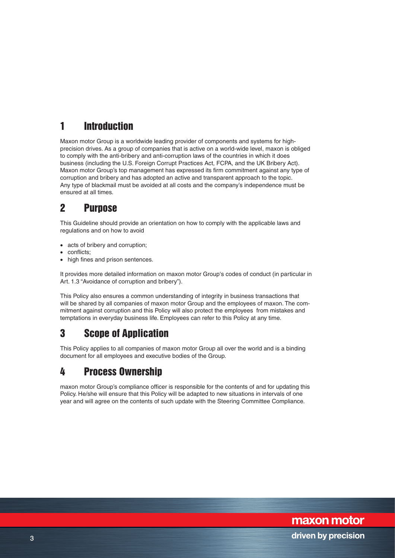# 1 Introduction

Maxon motor Group is a worldwide leading provider of components and systems for highprecision drives. As a group of companies that is active on a world-wide level, maxon is obliged to comply with the anti-bribery and anti-corruption laws of the countries in which it does business (including the U.S. Foreign Corrupt Practices Act, FCPA, and the UK Bribery Act). Maxon motor Group's top management has expressed its firm commitment against any type of corruption and bribery and has adopted an active and transparent approach to the topic. Any type of blackmail must be avoided at all costs and the company's independence must be ensured at all times.

# 2 Purpose

This Guideline should provide an orientation on how to comply with the applicable laws and regulations and on how to avoid

- acts of bribery and corruption:
- conflicts;
- high fines and prison sentences.

It provides more detailed information on maxon motor Group's codes of conduct (in particular in Art. 1.3 "Avoidance of corruption and bribery").

This Policy also ensures a common understanding of integrity in business transactions that will be shared by all companies of maxon motor Group and the employees of maxon. The commitment against corruption and this Policy will also protect the employees from mistakes and temptations in everyday business life. Employees can refer to this Policy at any time.

# 3 Scope of Application

This Policy applies to all companies of maxon motor Group all over the world and is a binding document for all employees and executive bodies of the Group.

## 4 Process Ownership

maxon motor Group's compliance officer is responsible for the contents of and for updating this Policy. He/she will ensure that this Policy will be adapted to new situations in intervals of one year and will agree on the contents of such update with the Steering Committee Compliance.

maxon motor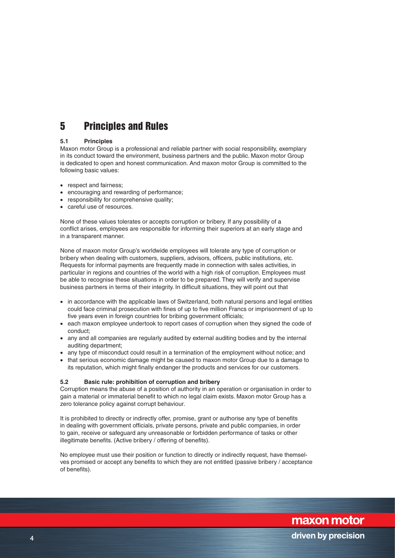## 5 Principles and Rules

## **5.1 Principles**

Maxon motor Group is a professional and reliable partner with social responsibility, exemplary in its conduct toward the environment, business partners and the public. Maxon motor Group is dedicated to open and honest communication. And maxon motor Group is committed to the following basic values:

- respect and fairness;
- encouraging and rewarding of performance;
- responsibility for comprehensive quality;
- careful use of resources.

None of these values tolerates or accepts corruption or bribery. If any possibility of a conflict arises, employees are responsible for informing their superiors at an early stage and in a transparent manner.

None of maxon motor Group's worldwide employees will tolerate any type of corruption or bribery when dealing with customers, suppliers, advisors, officers, public institutions, etc. Requests for informal payments are frequently made in connection with sales activities, in particular in regions and countries of the world with a high risk of corruption. Employees must be able to recognise these situations in order to be prepared. They will verify and supervise business partners in terms of their integrity. In difficult situations, they will point out that

- in accordance with the applicable laws of Switzerland, both natural persons and legal entities could face criminal prosecution with fines of up to five million Francs or imprisonment of up to five years even in foreign countries for bribing government officials:
- each maxon employee undertook to report cases of corruption when they signed the code of conduct;
- any and all companies are regularly audited by external auditing bodies and by the internal auditing department;
- any type of misconduct could result in a termination of the employment without notice; and
- that serious economic damage might be caused to maxon motor Group due to a damage to its reputation, which might finally endanger the products and services for our customers.

## **5.2 Basic rule: prohibition of corruption and bribery**

Corruption means the abuse of a position of authority in an operation or organisation in order to gain a material or immaterial benefit to which no legal claim exists. Maxon motor Group has a zero tolerance policy against corrupt behaviour.

It is prohibited to directly or indirectly offer, promise, grant or authorise any type of benefits in dealing with government officials, private persons, private and public companies, in order to gain, receive or safeguard any unreasonable or forbidden performance of tasks or other illegitimate benefits. (Active bribery / offering of benefits).

No employee must use their position or function to directly or indirectly request, have themselves promised or accept any benefits to which they are not entitled (passive bribery / acceptance of benefits).

maxon motor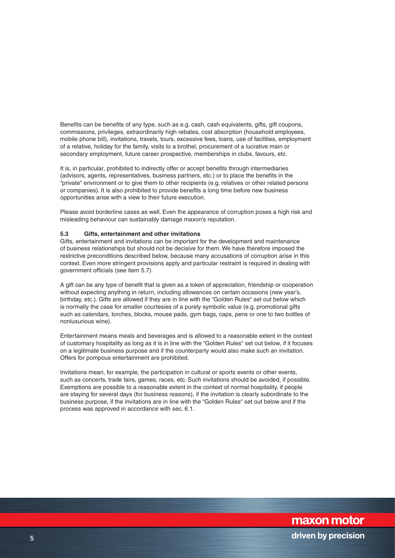Benefits can be benefits of any type, such as e.g. cash, cash equivalents, gifts, gift coupons, commissions, privileges, extraordinarily high rebates, cost absorption (household employees, mobile phone bill), invitations, travels, tours, excessive fees, loans, use of facilities, employment of a relative, holiday for the family, visits to a brothel, procurement of a lucrative main or secondary employment, future career prospective, memberships in clubs, favours, etc.

It is, in particular, prohibited to indirectly offer or accept benefits through intermediaries (advisors, agents, representatives, business partners, etc.) or to place the benefits in the "private" environment or to give them to other recipients (e.g. relatives or other related persons or companies). It is also prohibited to provide benefits a long time before new business opportunities arise with a view to their future execution.

Please avoid borderline cases as well. Even the appearance of corruption poses a high risk and misleading behaviour can sustainably damage maxon's reputation.

#### **5.3 Gifts, entertainment and other invitations**

Gifts, entertainment and invitations can be important for the development and maintenance of business relationships but should not be decisive for them. We have therefore imposed the restrictive preconditions described below, because many accusations of corruption arise in this context. Even more stringent provisions apply and particular restraint is required in dealing with government officials (see item 5.7).

A gift can be any type of benefit that is given as a token of appreciation, friendship or cooperation without expecting anything in return, including allowances on certain occasions (new year's, birthday, etc.). Gifts are allowed if they are in line with the "Golden Rules" set out below which is normally the case for smaller courtesies of a purely symbolic value (e.g. promotional gifts such as calendars, torches, blocks, mouse pads, gym bags, caps, pens or one to two bottles of nonluxurious wine).

Entertainment means meals and beverages and is allowed to a reasonable extent in the context of customary hospitality as long as it is in line with the "Golden Rules" set out below, if it focuses on a legitimate business purpose and if the counterparty would also make such an invitation. Offers for pompous entertainment are prohibited.

Invitations mean, for example, the participation in cultural or sports events or other events, such as concerts, trade fairs, games, races, etc. Such invitations should be avoided, if possible. Exemptions are possible to a reasonable extent in the context of normal hospitality, if people are staying for several days (for business reasons), if the invitation is clearly subordinate to the business purpose, if the invitations are in line with the "Golden Rules" set out below and if the process was approved in accordance with sec. 6.1.

maxon motor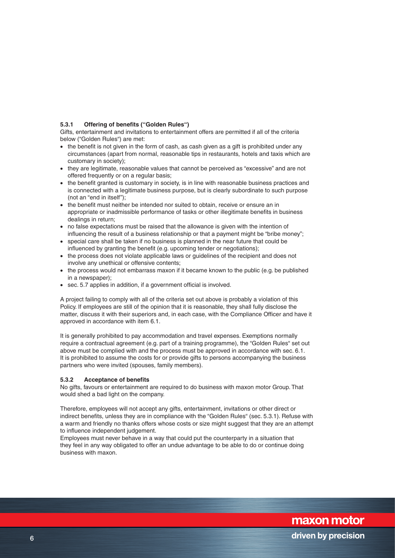## **5.3.1 Offering of benefits ("Golden Rules")**

Gifts, entertainment and invitations to entertainment offers are permitted if all of the criteria below ("Golden Rules") are met:

- the benefit is not given in the form of cash, as cash given as a gift is prohibited under any circumstances (apart from normal, reasonable tips in restaurants, hotels and taxis which are customary in society);
- they are legitimate, reasonable values that cannot be perceived as "excessive" and are not offered frequently or on a regular basis;
- the benefit granted is customary in society, is in line with reasonable business practices and is connected with a legitimate business purpose, but is clearly subordinate to such purpose (not an "end in itself");
- the benefit must neither be intended nor suited to obtain, receive or ensure an in appropriate or inadmissible performance of tasks or other illegitimate benefits in business dealings in return;
- no false expectations must be raised that the allowance is given with the intention of influencing the result of a business relationship or that a payment might be "bribe money";
- special care shall be taken if no business is planned in the near future that could be influenced by granting the benefit (e.g. upcoming tender or negotiations);
- the process does not violate applicable laws or guidelines of the recipient and does not involve any unethical or offensive contents;
- the process would not embarrass maxon if it became known to the public (e.g. be published in a newspaper);
- sec. 5.7 applies in addition, if a government official is involved.

A project failing to comply with all of the criteria set out above is probably a violation of this Policy. If employees are still of the opinion that it is reasonable, they shall fully disclose the matter, discuss it with their superiors and, in each case, with the Compliance Officer and have it approved in accordance with item 6.1.

It is generally prohibited to pay accommodation and travel expenses. Exemptions normally require a contractual agreement (e.g. part of a training programme), the "Golden Rules" set out above must be complied with and the process must be approved in accordance with sec. 6.1. It is prohibited to assume the costs for or provide gifts to persons accompanying the business partners who were invited (spouses, family members).

### **5.3.2 Acceptance of benefits**

No gifts, favours or entertainment are required to do business with maxon motor Group. That would shed a bad light on the company.

Therefore, employees will not accept any gifts, entertainment, invitations or other direct or indirect benefits, unless they are in compliance with the "Golden Rules" (sec. 5.3.1). Refuse with a warm and friendly no thanks offers whose costs or size might suggest that they are an attempt to influence independent judgement.

Employees must never behave in a way that could put the counterparty in a situation that they feel in any way obligated to offer an undue advantage to be able to do or continue doing business with maxon.

maxon motor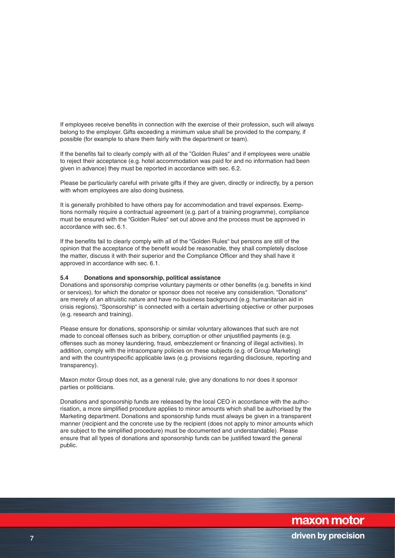If employees receive benefits in connection with the exercise of their profession, such will always belong to the employer. Gifts exceeding a minimum value shall be provided to the company, if possible (for example to share them fairly with the department or team).

If the benefits fail to clearly comply with all of the "Golden Rules" and if employees were unable to reject their acceptance (e.g. hotel accommodation was paid for and no information had been given in advance) they must be reported in accordance with sec. 6.2.

Please be particularly careful with private gifts if they are given, directly or indirectly, by a person with whom employees are also doing business.

It is generally prohibited to have others pay for accommodation and travel expenses. Exemptions normally require a contractual agreement (e.g. part of a training programme), compliance must be ensured with the "Golden Rules" set out above and the process must be approved in accordance with sec. 6.1.

If the benefits fail to clearly comply with all of the "Golden Rules" but persons are still of the opinion that the acceptance of the benefit would be reasonable, they shall completely disclose the matter, discuss it with their superior and the Compliance Officer and they shall have it approved in accordance with sec. 6.1.

#### **5.4 Donations and sponsorship, political assistance**

Donations and sponsorship comprise voluntary payments or other benefits (e.g. benefits in kind or services), for which the donator or sponsor does not receive any consideration. "Donations" are merely of an altruistic nature and have no business background (e.g. humanitarian aid in crisis regions). "Sponsorship" is connected with a certain advertising objective or other purposes (e.g. research and training).

Please ensure for donations, sponsorship or similar voluntary allowances that such are not made to conceal offenses such as bribery, corruption or other unjustified payments (e.g. offenses such as money laundering, fraud, embezzlement or financing of illegal activities). In addition, comply with the intracompany policies on these subjects (e.g. of Group Marketing) and with the countryspecific applicable laws (e.g. provisions regarding disclosure, reporting and transparency).

Maxon motor Group does not, as a general rule, give any donations to nor does it sponsor parties or politicians.

Donations and sponsorship funds are released by the local CEO in accordance with the authorisation, a more simplified procedure applies to minor amounts which shall be authorised by the Marketing department. Donations and sponsorship funds must always be given in a transparent manner (recipient and the concrete use by the recipient (does not apply to minor amounts which are subject to the simplified procedure) must be documented and understandable). Please ensure that all types of donations and sponsorship funds can be justified toward the general public.

maxon motor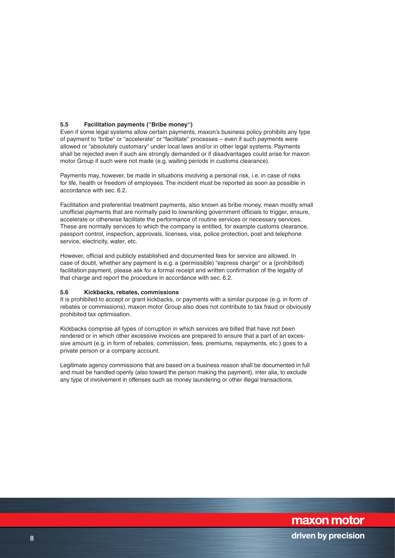## **5.5 Facilitation payments ("Bribe money")**

Even if some legal systems allow certain payments, maxon's business policy prohibits any type of payment to "bribe" or "accelerate" or "facilitate" processes – even if such payments were allowed or "absolutely customary" under local laws and/or in other legal systems. Payments shall be rejected even if such are strongly demanded or if disadvantages could arise for maxon motor Group if such were not made (e.g. waiting periods in customs clearance).

Payments may, however, be made in situations involving a personal risk, i.e. in case of risks for life, health or freedom of employees. The incident must be reported as soon as possible in accordance with sec. 6.2.

Facilitation and preferential treatment payments, also known as bribe money, mean mostly small unofficial payments that are normally paid to lowranking government officials to trigger, ensure, accelerate or otherwise facilitate the performance of routine services or necessary services. These are normally services to which the company is entitled, for example customs clearance, passport control, inspection, approvals, licenses, visa, police protection, post and telephone service, electricity, water, etc.

However, official and publicly established and documented fees for service are allowed. In case of doubt, whether any payment is e.g. a (permissible) "express charge" or a (prohibited) facilitation payment, please ask for a formal receipt and written confirmation of the legality of that charge and report the procedure in accordance with sec. 6.2.

#### **5.6 Kickbacks, rebates, commissions**

It is prohibited to accept or grant kickbacks, or payments with a similar purpose (e.g. in form of rebates or commissions). maxon motor Group also does not contribute to tax fraud or obviously prohibited tax optimisation.

Kickbacks comprise all types of corruption in which services are billed that have not been rendered or in which other excessive invoices are prepared to ensure that a part of an excessive amount (e.g. in form of rebates, commission, fees, premiums, repayments, etc.) goes to a private person or a company account.

Legitimate agency commissions that are based on a business reason shall be documented in full and must be handled openly (also toward the person making the payment), inter alia, to exclude any type of involvement in offenses such as money laundering or other illegal transactions.

maxon motor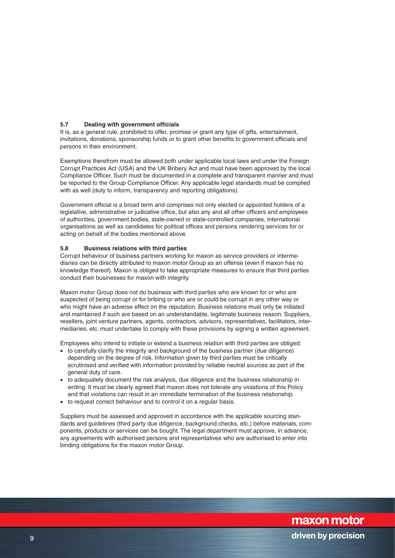## **5.7 Dealing with government officials**

It is, as a general rule, prohibited to offer, promise or grant any type of gifts, entertainment, invitations, donations, sponsorship funds or to grant other benefits to government officials and persons in their environment.

Exemptions therefrom must be allowed both under applicable local laws and under the Foreign Corrupt Practices Act (USA) and the UK Bribery Act and must have been approved by the local Compliance Officer. Such must be documented in a complete and transparent manner and must be reported to the Group Compliance Officer. Any applicable legal standards must be complied with as well (duty to inform, transparency and reporting obligations).

Government official is a broad term and comprises not only elected or appointed holders of a legislative, administrative or judicative office, but also any and all other officers and employees of authorities, government bodies, state-owned or state-controlled companies, international organisations as well as candidates for political offices and persons rendering services for or acting on behalf of the bodies mentioned above.

#### **5.8 Business relations with third parties**

Corrupt behaviour of business partners working for maxon as service providers or intermediaries can be directly attributed to maxon motor Group as an offense (even if maxon has no knowledge thereof). Maxon is obliged to take appropriate measures to ensure that third parties conduct their businesses for maxon with integrity.

Maxon motor Group does not do business with third parties who are known for or who are suspected of being corrupt or for bribing or who are or could be corrupt in any other way or who might have an adverse effect on the reputation. Business relations must only be initiated and maintained if such are based on an understandable, legitimate business reason. Suppliers, resellers, joint venture partners, agents, contractors, advisors, representatives, facilitators, intermediaries, etc. must undertake to comply with these provisions by signing a written agreement.

Employees who intend to initiate or extend a business relation with third parties are obliged:

- to carefully clarify the integrity and background of the business partner (due diligence) depending on the degree of risk. Information given by third parties must be critically scrutinised and verified with information provided by reliable neutral sources as part of the general duty of care.
- to adequately document the risk analysis, due diligence and the business relationship in writing. It must be clearly agreed that maxon does not tolerate any violations of this Policy and that violations can result in an immediate termination of the business relationship.
- to request correct behaviour and to control it on a regular basis.

Suppliers must be assessed and approved in accordance with the applicable sourcing standards and guidelines (third party due diligence, background checks, etc.) before materials, components, products or services can be bought. The legal department must approve, in advance, any agreements with authorised persons and representatives who are authorised to enter into binding obligations for the maxon motor Group.

maxon motor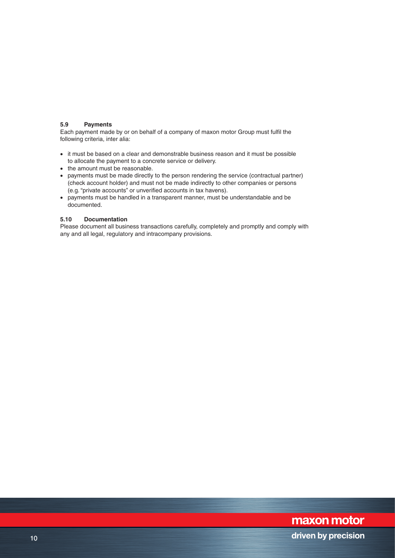### **5.9 Payments**

Each payment made by or on behalf of a company of maxon motor Group must fulfil the following criteria, inter alia:

- it must be based on a clear and demonstrable business reason and it must be possible to allocate the payment to a concrete service or delivery.
- the amount must be reasonable.
- payments must be made directly to the person rendering the service (contractual partner) (check account holder) and must not be made indirectly to other companies or persons (e.g. "private accounts" or unverified accounts in tax havens).
- payments must be handled in a transparent manner, must be understandable and be documented.

#### **5.10 Documentation**

Please document all business transactions carefully, completely and promptly and comply with any and all legal, regulatory and intracompany provisions.

# maxon motor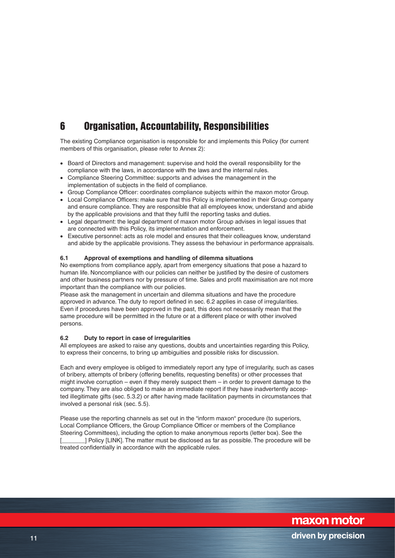# 6 Organisation, Accountability, Responsibilities

The existing Compliance organisation is responsible for and implements this Policy (for current members of this organisation, please refer to Annex 2):

- Board of Directors and management: supervise and hold the overall responsibility for the compliance with the laws, in accordance with the laws and the internal rules.
- Compliance Steering Committee: supports and advises the management in the implementation of subjects in the field of compliance.
- Group Compliance Officer: coordinates compliance subjects within the maxon motor Group.
- Local Compliance Officers: make sure that this Policy is implemented in their Group company and ensure compliance. They are responsible that all employees know, understand and abide by the applicable provisions and that they fulfil the reporting tasks and duties.
- Legal department: the legal department of maxon motor Group advises in legal issues that are connected with this Policy, its implementation and enforcement.
- Executive personnel: acts as role model and ensures that their colleagues know, understand and abide by the applicable provisions. They assess the behaviour in performance appraisals.

## **6.1 Approval of exemptions and handling of dilemma situations**

No exemptions from compliance apply, apart from emergency situations that pose a hazard to human life. Noncompliance with our policies can neither be justified by the desire of customers and other business partners nor by pressure of time. Sales and profit maximisation are not more important than the compliance with our policies.

Please ask the management in uncertain and dilemma situations and have the procedure approved in advance. The duty to report defined in sec. 6.2 applies in case of irregularities. Even if procedures have been approved in the past, this does not necessarily mean that the same procedure will be permitted in the future or at a different place or with other involved persons.

### **6.2 Duty to report in case of irregularities**

All employees are asked to raise any questions, doubts and uncertainties regarding this Policy, to express their concerns, to bring up ambiguities and possible risks for discussion.

Each and every employee is obliged to immediately report any type of irregularity, such as cases of bribery, attempts of bribery (offering benefits, requesting benefits) or other processes that might involve corruption – even if they merely suspect them – in order to prevent damage to the company. They are also obliged to make an immediate report if they have inadvertently accepted illegitimate gifts (sec. 5.3.2) or after having made facilitation payments in circumstances that involved a personal risk (sec. 5.5).

Please use the reporting channels as set out in the "inform maxon" procedure (to superiors, Local Compliance Officers, the Group Compliance Officer or members of the Compliance Steering Committees), including the option to make anonymous reports (letter box). See the [\_\_\_\_\_\_\_] Policy [LINK]. The matter must be disclosed as far as possible. The procedure will be treated confidentially in accordance with the applicable rules.

maxon motor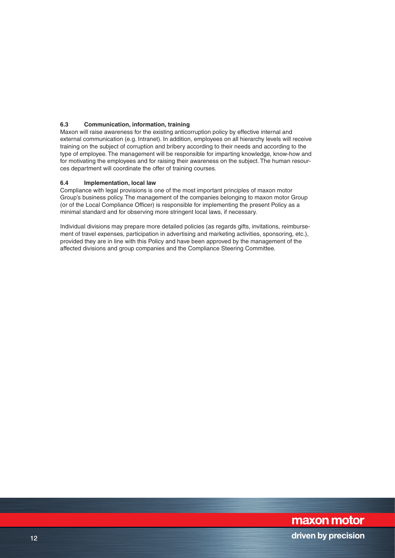## **6.3 Communication, information, training**

Maxon will raise awareness for the existing anticorruption policy by effective internal and external communication (e.g. Intranet). In addition, employees on all hierarchy levels will receive training on the subject of corruption and bribery according to their needs and according to the type of employee. The management will be responsible for imparting knowledge, know-how and for motivating the employees and for raising their awareness on the subject. The human resources department will coordinate the offer of training courses.

#### **6.4 Implementation, local law**

Compliance with legal provisions is one of the most important principles of maxon motor Group's business policy. The management of the companies belonging to maxon motor Group (or of the Local Compliance Officer) is responsible for implementing the present Policy as a minimal standard and for observing more stringent local laws, if necessary.

Individual divisions may prepare more detailed policies (as regards gifts, invitations, reimbursement of travel expenses, participation in advertising and marketing activities, sponsoring, etc.), provided they are in line with this Policy and have been approved by the management of the affected divisions and group companies and the Compliance Steering Committee.

# maxon motor